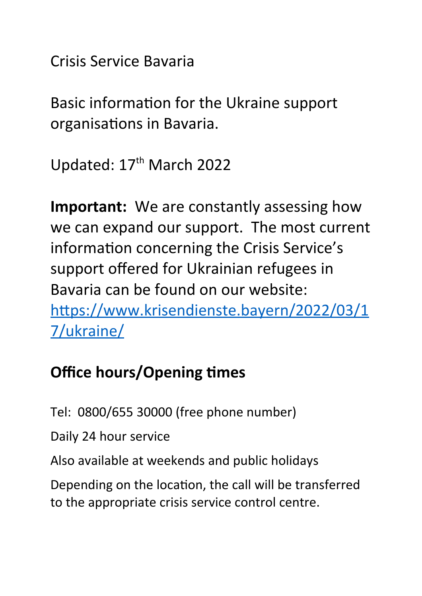Crisis Service Bavaria

Basic information for the Ukraine support organisations in Bavaria.

Updated: 17<sup>th</sup> March 2022

**Important:** We are constantly assessing how we can expand our support. The most current information concerning the Crisis Service's support offered for Ukrainian refugees in Bavaria can be found on our website: [https://www.krisendienste.bayern/2022/03/1](https://www.krisendienste.bayern/2022/03/17/ukraine/) [7/ukraine/](https://www.krisendienste.bayern/2022/03/17/ukraine/)

## **Office hours/Opening times**

Tel: 0800/655 30000 (free phone number)

Daily 24 hour service

Also available at weekends and public holidays

Depending on the location, the call will be transferred to the appropriate crisis service control centre.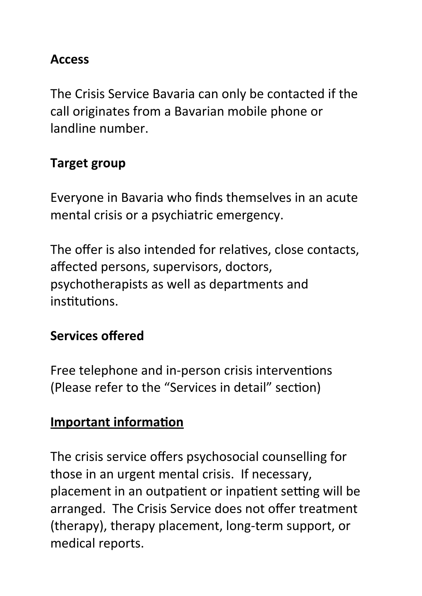#### **Access**

The Crisis Service Bavaria can only be contacted if the call originates from a Bavarian mobile phone or landline number.

#### **Target group**

Everyone in Bavaria who finds themselves in an acute mental crisis or a psychiatric emergency.

The offer is also intended for relatives, close contacts, affected persons, supervisors, doctors, psychotherapists as well as departments and institutions.

#### **Services offered**

Free telephone and in-person crisis interventions (Please refer to the "Services in detail" section)

#### **Important information**

The crisis service offers psychosocial counselling for those in an urgent mental crisis. If necessary, placement in an outpatient or inpatient setting will be arranged. The Crisis Service does not offer treatment (therapy), therapy placement, long-term support, or medical reports.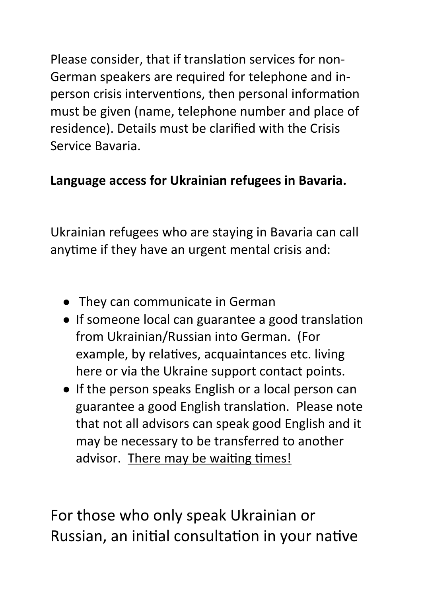Please consider, that if translation services for non-German speakers are required for telephone and inperson crisis interventions, then personal information must be given (name, telephone number and place of residence). Details must be clarified with the Crisis Service Bavaria.

### **Language access for Ukrainian refugees in Bavaria.**

Ukrainian refugees who are staying in Bavaria can call anytime if they have an urgent mental crisis and:

- They can communicate in German
- **.** If someone local can guarantee a good translation from Ukrainian/Russian into German. (For example, by relatives, acquaintances etc. living here or via the Ukraine support contact points.
- If the person speaks English or a local person can guarantee a good English translation. Please note that not all advisors can speak good English and it may be necessary to be transferred to another advisor. There may be waiting times!

For those who only speak Ukrainian or Russian, an initial consultation in your native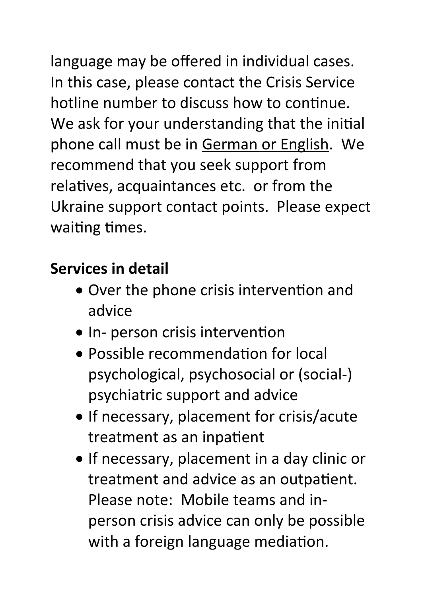language may be offered in individual cases. In this case, please contact the Crisis Service hotline number to discuss how to continue. We ask for your understanding that the initial phone call must be in German or English. We recommend that you seek support from relatives, acquaintances etc. or from the Ukraine support contact points. Please expect waiting times.

## **Services in detail**

- Over the phone crisis intervention and advice
- In- person crisis intervention
- Possible recommendation for local psychological, psychosocial or (social-) psychiatric support and advice
- If necessary, placement for crisis/acute treatment as an inpatient
- If necessary, placement in a day clinic or treatment and advice as an outpatient. Please note: Mobile teams and inperson crisis advice can only be possible with a foreign language mediation.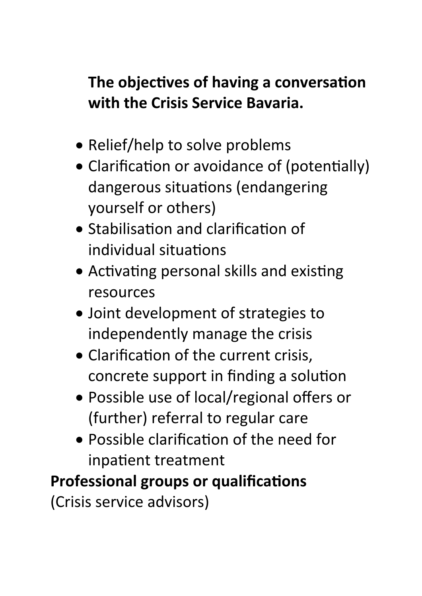## **The objectives of having a conversation with the Crisis Service Bavaria.**

- Relief/help to solve problems
- Clarification or avoidance of (potentially) dangerous situations (endangering yourself or others)
- Stabilisation and clarification of individual situations
- Activating personal skills and existing resources
- Joint development of strategies to independently manage the crisis
- Clarification of the current crisis, concrete support in finding a solution
- Possible use of local/regional offers or (further) referral to regular care
- Possible clarification of the need for inpatient treatment

# **Professional groups or qualifications**

(Crisis service advisors)